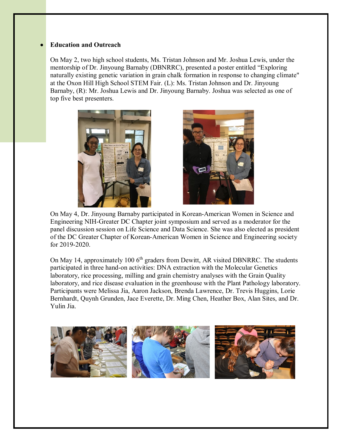## • **Education and Outreach**

On May 2, two high school students, Ms. Tristan Johnson and Mr. Joshua Lewis, under the mentorship of Dr. Jinyoung Barnaby (DBNRRC), presented a poster entitled "Exploring naturally existing genetic variation in grain chalk formation in response to changing climate" at the Oxon Hill High School STEM Fair. (L): Ms. Tristan Johnson and Dr. Jinyoung Barnaby, (R): Mr. Joshua Lewis and Dr. Jinyoung Barnaby. Joshua was selected as one of top five best presenters.





On May 4, Dr. Jinyoung Barnaby participated in Korean-American Women in Science and Engineering NIH-Greater DC Chapter joint symposium and served as a moderator for the panel discussion session on Life Science and Data Science. She was also elected as president of the DC Greater Chapter of Korean-American Women in Science and Engineering society for 2019-2020.

On May 14, approximately 100  $6<sup>th</sup>$  graders from Dewitt, AR visited DBNRRC. The students participated in three hand-on activities: DNA extraction with the Molecular Genetics laboratory, rice processing, milling and grain chemistry analyses with the Grain Quality laboratory, and rice disease evaluation in the greenhouse with the Plant Pathology laboratory. Participants were Melissa Jia, Aaron Jackson, Brenda Lawrence, Dr. Trevis Huggins, Lorie Bernhardt, Quynh Grunden, Jace Everette, Dr. Ming Chen, Heather Box, Alan Sites, and Dr. Yulin Jia.